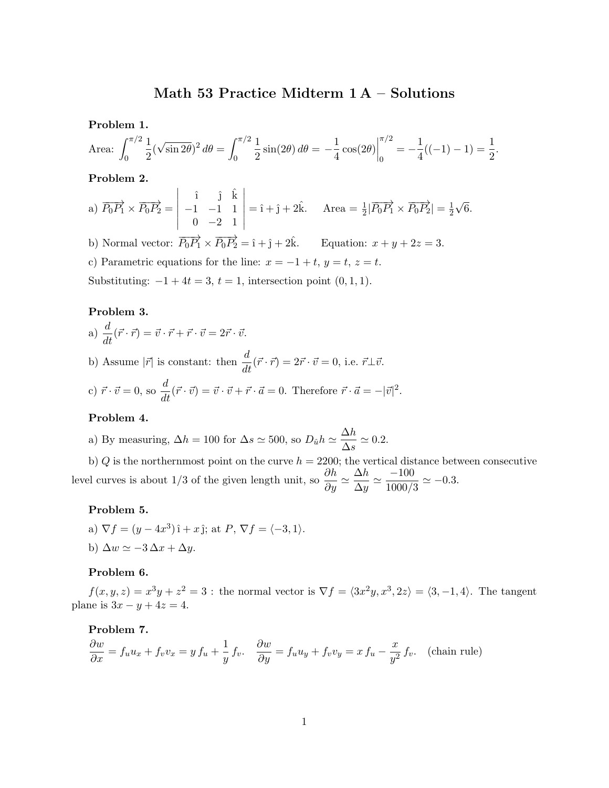# Math 53 Practice Midterm 1 A – Solutions

Problem 1.

Area: 
$$
\int_0^{\pi/2} \frac{1}{2} (\sqrt{\sin 2\theta})^2 d\theta = \int_0^{\pi/2} \frac{1}{2} \sin(2\theta) d\theta = -\frac{1}{4} \cos(2\theta) \Big|_0^{\pi/2} = -\frac{1}{4} ((-1) - 1) = \frac{1}{2}.
$$

Problem 2.

a) 
$$
\overrightarrow{P_0P_1} \times \overrightarrow{P_0P_2} = \begin{vmatrix} \hat{i} & \hat{j} & \hat{k} \\ -1 & -1 & 1 \\ 0 & -2 & 1 \end{vmatrix} = \hat{i} + \hat{j} + 2\hat{k}
$$
. Area =  $\frac{1}{2} |\overrightarrow{P_0P_1} \times \overrightarrow{P_0P_2}| = \frac{1}{2}\sqrt{6}$ .

b) Normal vector:  $\overrightarrow{P_0P_1} \times \overrightarrow{P_0P_2} = \hat{i} + \hat{j} + 2\hat{k}$ . Equation:  $x + y + 2z = 3$ .

c) Parametric equations for the line:  $x = -1 + t$ ,  $y = t$ ,  $z = t$ .

Substituting:  $-1 + 4t = 3$ ,  $t = 1$ , intersection point  $(0, 1, 1)$ .

## Problem 3.

a)  $\frac{d}{dt}(\vec{r} \cdot \vec{r}) = \vec{v} \cdot \vec{r} + \vec{r} \cdot \vec{v} = 2\vec{r} \cdot \vec{v}.$ 

b) Assume  $|\vec{r}|$  is constant: then  $\frac{d}{dt}(\vec{r} \cdot \vec{r}) = 2\vec{r} \cdot \vec{v} = 0$ , i.e.  $\vec{r} \perp \vec{v}$ .

c) 
$$
\vec{r} \cdot \vec{v} = 0
$$
, so  $\frac{d}{dt}(\vec{r} \cdot \vec{v}) = \vec{v} \cdot \vec{v} + \vec{r} \cdot \vec{a} = 0$ . Therefore  $\vec{r} \cdot \vec{a} = -|\vec{v}|^2$ .

### Problem 4.

a) By measuring, 
$$
\Delta h = 100
$$
 for  $\Delta s \simeq 500$ , so  $D_{\hat{u}}h \simeq \frac{\Delta h}{\Delta s} \simeq 0.2$ .

b) Q is the northernmost point on the curve  $h = 2200$ ; the vertical distance between consecutive level curves is about 1/3 of the given length unit, so  $\frac{\partial h}{\partial y} \simeq$  $\Delta h$  $\frac{\Delta h}{\Delta y} \simeq \frac{-100}{1000/3}$  $\frac{100}{1000/3} \simeq -0.3.$ 

#### Problem 5.

a)  $\nabla f = (y - 4x^3)\hat{i} + x\hat{j}$ ; at  $P$ ,  $\nabla f = \langle -3, 1 \rangle$ . b)  $\Delta w \simeq -3\,\Delta x + \Delta y$ .

#### Problem 6.

 $f(x, y, z) = x<sup>3</sup>y + z<sup>2</sup> = 3$ : the normal vector is  $\nabla f = \langle 3x<sup>2</sup>y, x<sup>3</sup>, 2z \rangle = \langle 3, -1, 4 \rangle$ . The tangent plane is  $3x - y + 4z = 4$ .

#### Problem 7.

$$
\frac{\partial w}{\partial x} = f_u u_x + f_v v_x = y f_u + \frac{1}{y} f_v. \quad \frac{\partial w}{\partial y} = f_u u_y + f_v v_y = x f_u - \frac{x}{y^2} f_v. \quad \text{(chain rule)}
$$